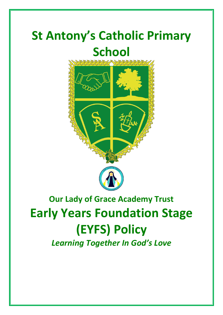# **St Antony's Catholic Primary School**



# **Our Lady of Grace Academy Trust Early Years Foundation Stage (EYFS) Policy**

*Learning Together In God's Love*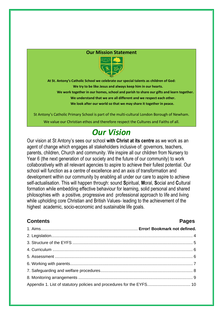#### **Our Mission Statement**



**At St. Antony's Catholic School we celebrate our special talents as children of God: We try to be like Jesus and always keep him in our hearts. We work together in our homes, school and parish to share our gifts and learn together. We understand that we are all different and we respect each other. We look after our world so that we may share it together in peace.**

St Antony's Catholic Primary School is part of the multi-cultural London Borough of Newham. We value our Christian ethos and therefore respect the Cultures and Faiths of all.

# *Our Vision*

Our vision at St Antony's sees our school **with Christ at its centre** as we work as an agent of change which engages all stakeholders inclusive of: governors, teachers, parents, children, Church and community. We inspire all our children from Nursery to Year 6 (the next generation of our society and the future of our community) to work collaboratively with all relevant agencies to aspire to achieve their fullest potential. Our school will function as a centre of excellence and an axis of transformation and development within our community by enabling all under our care to aspire to achieve self-actualisation. This will happen through: sound **S**piritual, **M**oral, **S**ocial and **C**ultural formation while embedding effective behaviour for learning, solid personal and shared philosophies with a positive, progressive and professional approach to life and living while upholding core Christian and British Values- leading to the achievement of the highest academic, socio-economic and sustainable life goals.

# **Contents Pages**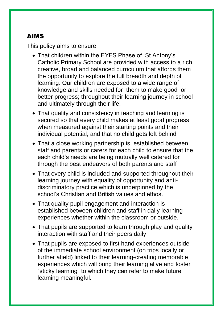# AIMS

This policy aims to ensure:

- That children within the EYFS Phase of St Antony's Catholic Primary School are provided with access to a rich, creative, broad and balanced curriculum that affords them the opportunity to explore the full breadth and depth of learning. Our children are exposed to a wide range of knowledge and skills needed for them to make good or better progress; throughout their learning journey in school and ultimately through their life.
- That quality and consistency in teaching and learning is secured so that every child makes at least good progress when measured against their starting points and their individual potential; and that no child gets left behind
- That a close working partnership is established between staff and parents or carers for each child to ensure that the each child's needs are being mutually well catered for through the best endeavors of both parents and staff
- That every child is included and supported throughout their learning journey with equality of opportunity and antidiscriminatory practice which is underpinned by the school's Christian and British values and ethos.
- That quality pupil engagement and interaction is established between children and staff in daily learning experiences whether within the classroom or outside.
- That pupils are supported to learn through play and quality interaction with staff and their peers daily
- That pupils are exposed to first hand experiences outside of the immediate school environment (on trips locally or further afield) linked to their learning-creating memorable experiences which will bring their learning alive and foster "sticky learning" to which they can refer to make future learning meaningful.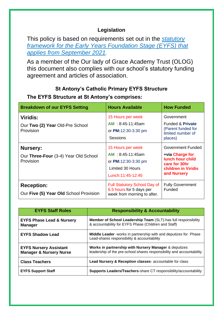# **Legislation**

This policy is based on requirements set out in the *[statutory](https://www.gov.uk/government/publications/early-years-foundation-stage-framework--2/)  [framework for the Early Years Foundation Stage \(EYFS\) that](https://www.gov.uk/government/publications/early-years-foundation-stage-framework--2/)  [applies from September 2021.](https://www.gov.uk/government/publications/early-years-foundation-stage-framework--2/)*

As a member of the Our lady of Grace Academy Trust (OLOG) this document also complies with our school's statutory funding agreement and articles of association.

# **St Antony's Catholic Primary EYFS Structure**

| <b>Breakdown of our EYFS Setting</b>                            | <b>Hours Available</b>                                                                                               | <b>How Funded</b>                                                                                                             |
|-----------------------------------------------------------------|----------------------------------------------------------------------------------------------------------------------|-------------------------------------------------------------------------------------------------------------------------------|
| <b>Viridis:</b><br>Our Two (2) Year Old-Pre School<br>Provision | 15 Hours per week<br>AM: 8:45-11:45am<br>or PM:12:30-3:30 pm<br><b>Sessions</b>                                      | Government<br><b>Funded &amp; Private</b><br>(Parent funded for<br>limited number of<br>places)                               |
| Nursery:<br>Our Three-Four (3-4) Year Old School<br>Provision   | 15 Hours per week<br>$AM : 8:45-11:45am$<br>or PM:12:30-3:30 pm<br><b>Limited 30 Hours</b><br>Lunch: 11: 45 - 12: 45 | <b>Government Funded</b><br>+via Charge for<br><b>lunch hour child</b><br>care for 30hr<br>children in Viridis<br>and Nursery |
| <b>Reception:</b><br>Our Five (5) Year Old School Provision     | <b>Full Statutory School Day of</b><br>6.5 hours for 5 days per<br>week from morning to after.                       | <b>Fully Government</b><br>Funded                                                                                             |

# **The EYFS Structure at St Antony's comprises:**

| <b>EYFS Staff Roles</b>                                             | <b>Responsibility &amp; Accountability</b>                                                                                     |
|---------------------------------------------------------------------|--------------------------------------------------------------------------------------------------------------------------------|
| <b>EYFS Phase Lead &amp; Nursery</b><br><b>Manager</b>              | Member of School Leadership Team (SLT)-has full responsibility<br>& accountability for EYFS Phase (Children and Staff)         |
| <b>EYFS Shadow Lead</b>                                             | <b>Middle Leader</b> - works in partnership with and deputizes for Phase<br>Lead-shares responsibility & accountability        |
| <b>EYFS Nursery Assistant</b><br><b>Manager &amp; Nursery Nurse</b> | Works in partnership with Nursery Manager & deputizes<br>leadership of the pre-school-shares responsibility and accountability |
| <b>Class Teachers</b>                                               | Lead Nursery & Reception classes- accountable for class                                                                        |
| <b>EYFS Support Staff</b>                                           | <b>Supports Leaders/Teachers-share CT responsibility/accountability</b>                                                        |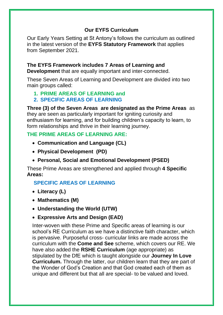# **Our EYFS Curriculum**

Our Early Years Setting at St Antony's follows the curriculum as outlined in the latest version of the **EYFS Statutory Framework** that applies from September 2021.

# **The EYFS Framework includes 7 Areas of Learning and**

**Development** that are equally important and inter-connected.

These Seven Areas of Learning and Development are divided into two main groups called:

# **1. PRIME AREAS OF LEARNING and**

# **2. SPECIFIC AREAS OF LEARNING**

**Three (3) of the Seven Areas are designated as the Prime Areas** as they are seen as particularly important for igniting curiosity and enthusiasm for learning, and for building children's capacity to learn, to form relationships and thrive in their learning journey.

# **THE PRIME AREAS OF LEARNING ARE:**

- **Communication and Language (CL)**
- **Physical Development (PD)**
- **Personal, Social and Emotional Development (PSED)**

These Prime Areas are strengthened and applied through **4 Specific Areas:**

# **SPECIFIC AREAS OF LEARNING**

- **Literacy (L)**
- **Mathematics (M)**
- **Understanding the World (UTW)**
- **Expressive Arts and Design (EAD)**

Inter-woven with these Prime and Specific areas of learning is our school's RE Curriculum as we have a distinctive faith character, which is pervasive. Purposeful cross- curricular links are made across the curriculum with the **Come and See** scheme, which covers our RE. We have also added the **RSHE Curriculum** (age appropriate) as stipulated by the DfE which is taught alongside our **Journey In Love Curriculum.** Through the latter, our children learn that they are part of the Wonder of God's Creation and that God created each of them as unique and different but that all are special- to be valued and loved.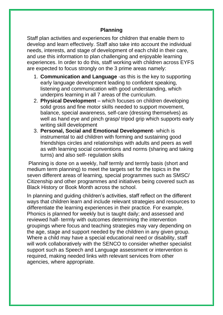# **Planning**

Staff plan activities and experiences for children that enable them to develop and learn effectively. Staff also take into account the individual needs, interests, and stage of development of each child in their care, and use this information to plan challenging and enjoyable learning experiences. In order to do this, staff working with children across EYFS are expected to focus strongly on the 3 prime areas namely:

- 1. **Communication and Language** -as this is the key to supporting early language development leading to confident speaking, listening and communication with good understanding, which underpins learning in all 7 areas of the curriculum.
- 2. **Physical Development** which focuses on children developing solid gross and fine motor skills needed to support movement, balance, special awareness, self-care (dressing themselves) as well as hand eye and pinch grasp/ tripod grip which supports early writing skill development
- 3. **Personal, Social and Emotional Development** which is instrumental to aid children with forming and sustaining good friendships circles and relationships with adults and peers as well as with learning social conventions and norms (sharing and taking turns) and also self- regulation skills

Planning is done on a weekly, half termly and termly basis (short and medium term planning) to meet the targets set for the topics in the seven different areas of learning, special programmes such as SMSC/ Citizenship and other programmes and initiatives being covered such as Black History or Book Month across the school.

In planning and guiding children's activities, staff reflect on the different ways that children learn and include relevant strategies and resources to differentiate the learning experiences in their practice. For example, Phonics is planned for weekly but is taught daily; and assessed and reviewed half- termly with outcomes determining the intervention groupings where focus and teaching strategies may vary depending on the age, stage and support needed by the children in any given group. Where a child may have a special educational need or disability, staff will work collaboratively with the SENCO to consider whether specialist support such as Speech and Language assessment or intervention is required, making needed links with relevant services from other agencies, where appropriate.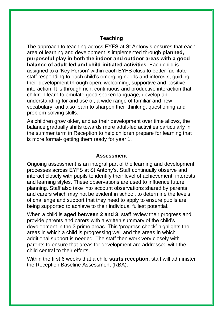# **Teaching**

The approach to teaching across EYFS at St Antony's ensures that each area of learning and development is implemented through **planned, purposeful play in both the indoor and outdoor areas with a good balance of adult-led and child-initiated activities**. Each child is assigned to a 'Key Person' within each EYFS class to better facilitate staff responding to each child's emerging needs and interests, guiding their development through open, welcoming, supportive and positive interaction. It is through rich, continuous and productive interaction that children learn to emulate good spoken language, develop an understanding for and use of, a wide range of familiar and new vocabulary; and also learn to sharpen their thinking, questioning and problem-solving skills.

As children grow older, and as their development over time allows, the balance gradually shifts towards more adult-led activities particularly in the summer term in Reception to help children prepare for learning that is more formal- getting them ready for year 1.

### **Assessment**

Ongoing assessment is an integral part of the learning and development processes across EYFS at St Antony's. Staff continually observe and interact closely with pupils to identify their level of achievement, interests and learning styles. These observations are used to influence future planning. Staff also take into account observations shared by parents and carers which may not be evident in school, to determine the levels of challenge and support that they need to apply to ensure pupils are being supported to achieve to their individual fullest potential.

When a child is **aged between 2 and 3**, staff review their progress and provide parents and carers with a written summary of the child's development in the 3 prime areas. This 'progress check' highlights the areas in which a child is progressing well and the areas in which additional support is needed. The staff then work very closely with parents to ensure that areas for development are addressed with the child central to their efforts.

Within the first 6 weeks that a child **starts reception**, staff will administer the Reception Baseline Assessment (RBA).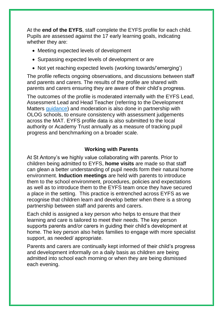At the **end of the EYFS**, staff complete the EYFS profile for each child. Pupils are assessed against the 17 early learning goals, indicating whether they are:

- Meeting expected levels of development
- Surpassing expected levels of development or are
- Not yet reaching expected levels (working towards/'emerging')

The profile reflects ongoing observations, and discussions between staff and parents and carers. The results of the profile are shared with parents and carers ensuring they are aware of their child's progress.

The outcomes of the profile is moderated internally with the EYFS Lead, Assessment Lead and Head Teacher (referring to the Development Matters [guidance\)](https://www.gov.uk/government/publications/development-matters--2) and moderation is also done in partnership with OLOG schools, to ensure consistency with assessment judgements across the MAT. EYFS profile data is also submitted to the local authority or Academy Trust annually as a measure of tracking pupil progress and benchmarking on a broader scale.

# **Working with Parents**

At St Antony's we highly value collaborating with parents. Prior to children being admitted to EYFS, **home visits** are made so that staff can glean a better understanding of pupil needs form their natural home environment. **Induction meetings** are held with parents to introduce them to the school environment, procedures, policies and expectations as well as to introduce them to the EYFS team once they have secured a place in the setting. This practice is entrenched across EYFS as we recognise that children learn and develop better when there is a strong partnership between staff and parents and carers.

Each child is assigned a key person who helps to ensure that their learning and care is tailored to meet their needs. The key person supports parents and/or carers in guiding their child's development at home. The key person also helps families to engage with more specialist support, as needed/ appropriate.

Parents and carers are continually kept informed of their child's progress and development informally on a daily basis as children are being admitted into school each morning or when they are being dismissed each evening.